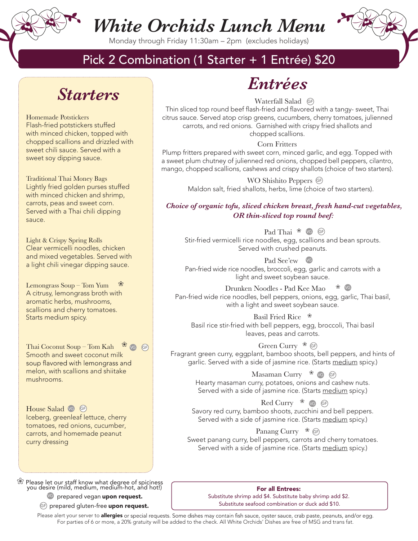

Monday through Friday 11:30am – 2pm (excludes holidays)

### Pick 2 Combination (1 Starter + 1 Entrée) \$20

### *Starters*

Homemade Potstickers Flash-fried potstickers stuffed with minced chicken, topped with chopped scallions and drizzled with sweet chili sauce. Served with a sweet soy dipping sauce.

Traditional Thai Money Bags Lightly fried golden purses stuffed with minced chicken and shrimp, carrots, peas and sweet corn. Served with a Thai chili dipping sauce.

Light & Crispy Spring Rolls Clear vermicelli noodles, chicken and mixed vegetables. Served with a light chili vinegar dipping sauce.

Lemongrass  $Soup - Tom Yum$ A citrusy, lemongrass broth with aromatic herbs, mushrooms, scallions and cherry tomatoes. Starts medium spicy.

Thai Coconut Soup – Tom Kah  $\frac{\mathcal{R}}{\mathcal{R}}$  VG GF Smooth and sweet coconut milk soup flavored with lemongrass and melon, with scallions and shiitake mushrooms.

House Salad **vG** GE Iceberg, greenleaf lettuce, cherry tomatoes, red onions, cucumber, carrots, and homemade peanut curry dressing

❀ Please let our staff know what degree of spiciness you desire (mild, medium, medium-hot, and hot!)

<sup>vG</sup> prepared vegan **upon request.** 

<sup>GF)</sup> prepared gluten-free **upon request.** 

### *Entrées*

Waterfall Salad GF

Thin sliced top round beef flash-fried and flavored with a tangy- sweet, Thai citrus sauce. Served atop crisp greens, cucumbers, cherry tomatoes, julienned carrots, and red onions. Garnished with crispy fried shallots and chopped scallions.

Corn Fritters

Plump fritters prepared with sweet corn, minced garlic, and egg. Topped with a sweet plum chutney of julienned red onions, chopped bell peppers, cilantro, mango, chopped scallions, cashews and crispy shallots (choice of two starters).

> WO Shishito Peppers G Maldon salt, fried shallots, herbs, lime (choice of two starters).

#### *Choice of organic tofu, sliced chicken breast, fresh hand-cut vegetables, OR thin-sliced top round beef:*

Pad Thai <sup>®</sup> GF Stir-fried vermicelli rice noodles, egg, scallions and bean sprouts. Served with crushed peanuts.

Pad See'ew v Pan-fried wide rice noodles, broccoli, egg, garlic and carrots with a light and sweet soybean sauce.

Drunken Noodles - Pad Kee Mao ❀ Pan-fried wide rice noodles, bell peppers, onions, egg, garlic, Thai basil, with a light and sweet soybean sauce. VG

Basil Fried Rice ❀ Basil rice stir-fried with bell peppers, egg, broccoli, Thai basil leaves, peas and carrots.

Green Curry  $\mathscr{E}$  GF Fragrant green curry, eggplant, bamboo shoots, bell peppers, and hints of garlic. Served with a side of jasmine rice. (Starts medium spicy.)

> Masaman Curry <sup>��</sup> ve GF Hearty masaman curry, potatoes, onions and cashew nuts. Served with a side of jasmine rice. (Starts medium spicy.)

Red Curry  $\frac{1}{100}$  GF Savory red curry, bamboo shoots, zucchini and bell peppers. Served with a side of jasmine rice. (Starts medium spicy.)

Panang Curry  $\mathscr{E}$  GF Sweet panang curry, bell peppers, carrots and cherry tomatoes. Served with a side of jasmine rice. (Starts medium spicy.)

#### For all Entrees:

Substitute shrimp add \$4. Substitute baby shrimp add \$2. Substitute seafood combination or duck add \$10.

Please alert your server to allergies or special requests. Some dishes may contain fish sauce, oyster sauce, crab paste, peanuts, and/or egg. For parties of 6 or more, a 20% gratuity will be added to the check. All White Orchids' Dishes are free of MSG and trans fat.